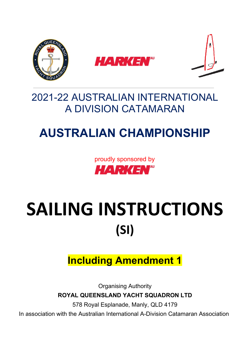

## 2021-22 AUSTRALIAN INTERNATIONAL A DIVISION CATAMARAN

# **AUSTRALIAN CHAMPIONSHIP**

proudly sponsored by **HARKEN**"

# SAILING INSTRUCTIONS **(SI)**

## **Including Amendment 1**

Organising Authority **ROYAL QUEENSLAND YACHT SQUADRON LTD**

578 Royal Esplanade, Manly, QLD 4179

In association with the Australian International A-Division Catamaran Association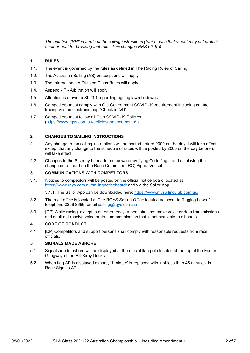*The notation '[NP]' in a rule of the sailing instructions (SIs) means that a boat may not protest another boat for breaking that rule. This changes RRS 60.1(a).* 

#### **1. RULES**

- 1.1. The event is governed by the rules as defined in The Racing Rules of Sailing.
- 1.2. The Australian Sailing (AS) prescriptions will apply.
- 1.3. The International A Division Class Rules will apply.
- 1.4. Appendix T Arbitration will apply.
- 1.5. Attention is drawn to SI 23.1 regarding rigging lawn tiedowns.
- 1.6. Competitors must comply with Qld Government COVID-19 requirement including contact tracing via the electronic app "Check in Qld".
- 1.7. Competitors must follow all Club COVID-19 Policies [\(https://www.rqys.com.au/policiesanddocuments/](https://www.rqys.com.au/policiesanddocuments/) )

#### **2. CHANGES TO SAILING INSTRUCTIONS**

- 2.1. Any change to the sailing instructions will be posted before 0900 on the day it will take effect, except that any change to the schedule of races will be posted by 2000 on the day before it will take effect.
- 2.2. Changes to the SIs may be made on the water by flying Code flag L and displaying the change on a board on the Race Committee (RC) Signal Vessel.

#### **3. COMMUNICATIONS WITH COMPETITORS**

3.1. Notices to competitors will be posted on the official notice board located at <https://www.rqys.com.au/sailingnoticeboard/> and via the Sailor App.

3.1.1. The Sailor App can be downloaded here:<https://www.mysailingclub.com.au/>

- 3.2. The race office is located at The RQYS Sailing Office located adjacent to Rigging Lawn 2, telephone 3396 8666, email [sailing@rqys.com.au](mailto:sailing@rqys.com.au).
- 3.3. [DP] While racing, except in an emergency, a boat shall not make voice or data transmissions and shall not receive voice or data communication that is not available to all boats.

#### **4. CODE OF CONDUCT**

4.1 [DP] Competitors and support persons shall comply with reasonable requests from race officials.

#### **5. SIGNALS MADE ASHORE**

- 5.1. Signals made ashore will be displayed at the official flag pole located at the top of the Eastern Gangway of the Bill Kirby Docks.
- 5.2. When flag AP is displayed ashore, '1 minute' is replaced with 'not less than 45 minutes' in Race Signals AP.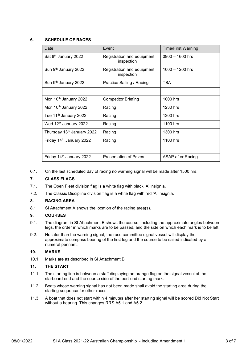#### **6. SCHEDULE OF RACES**

| Date                              | Event                                    | <b>Time/First Warning</b> |
|-----------------------------------|------------------------------------------|---------------------------|
| Sat 8 <sup>th</sup> January 2022  | Registration and equipment<br>inspection | $0900 - 1600$ hrs         |
| Sun 9 <sup>th</sup> January 2022  | Registration and equipment<br>inspection | $1000 - 1200$ hrs         |
| Sun 9th January 2022              | Practice Sailing / Racing                | <b>TBA</b>                |
|                                   |                                          |                           |
| Mon 10 <sup>th</sup> January 2022 | <b>Competitor Briefing</b>               | 1000 hrs                  |
| Mon 10 <sup>th</sup> January 2022 | Racing                                   | 1230 hrs                  |
| Tue 11 <sup>th</sup> January 2022 | Racing                                   | 1300 hrs                  |
| Wed 12 <sup>th</sup> January 2022 | Racing                                   | 1100 hrs                  |
| Thursday 13th January 2022        | Racing                                   | 1300 hrs                  |
| Friday 14th January 2022          | Racing                                   | 1100 hrs                  |
|                                   |                                          |                           |
| Friday 14th January 2022          | <b>Presentation of Prizes</b>            | ASAP after Racing         |

6.1. On the last scheduled day of racing no warning signal will be made after 1500 hrs.

#### **7. CLASS FLAGS**

- 7.1. The Open Fleet division flag is a white flag with black 'A' insignia.
- 7.2. The Classic Discipline division flag is a white flag with red 'A' insignia.

#### **8. RACING AREA**

8.1 SI Attachment A shows the location of the racing area(s).

#### **9. COURSES**

- 9.1. The diagram in SI Attachment B shows the course, including the approximate angles between legs, the order in which marks are to be passed, and the side on which each mark is to be left.
- 9.2. No later than the warning signal, the race committee signal vessel will display the approximate compass bearing of the first leg and the course to be sailed indicated by a numeral pennant.

#### **10. MARKS**

10.1. Marks are as described in SI Attachment B.

#### **11. THE START**

- 11.1. The starting line is between a staff displaying an orange flag on the signal vessel at the starboard end and the course side of the port-end starting mark.
- 11.2. Boats whose warning signal has not been made shall avoid the starting area during the starting sequence for other races.
- 11.3. A boat that does not start within 4 minutes after her starting signal will be scored Did Not Start without a hearing. This changes RRS A5.1 and A5.2.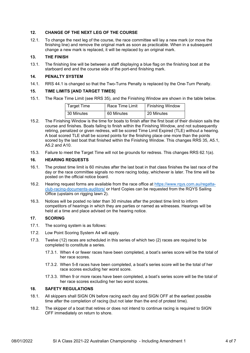#### **12. CHANGE OF THE NEXT LEG OF THE COURSE**

12.1. To change the next leg of the course, the race committee will lay a new mark (or move the finishing line) and remove the original mark as soon as practicable. When in a subsequent change a new mark is replaced, it will be replaced by an original mark.

#### **13. THE FINISH**

13.1. The finishing line will be between a staff displaying a blue flag on the finishing boat at the starboard end and the course side of the port-end finishing mark.

#### **14. PENALTY SYSTEM**

14.1. RRS 44.1 is changed so that the Two-Turns Penalty is replaced by the One-Turn Penalty.

#### **15. TIME LIMITS [AND TARGET TIMES]**

15.1. The Race Time Limit (see RRS 35), and the Finishing Window are shown in the table below.

| <b>Target Time</b> | Race Time Limit | <b>Finishing Window</b> |
|--------------------|-----------------|-------------------------|
| 30 Minutes         | 60 Minutes      | 20 Minutes              |

- 15.2. The Finishing Window is the time for boats to finish after the first boat of their division sails the course and finishes. Boats failing to finish within the Finishing Window, and not subsequently retiring, penalized or given redress, will be scored Time Limit Expired (TLE) without a hearing. A boat scored TLE shall be scored points for the finishing place one more than the points scored by the last boat that finished within the Finishing Window. This changes RRS 35, A5.1, A5.2 and A10.
- 15.3. Failure to meet the Target Time will not be grounds for redress. This changes RRS 62.1(a).

#### **16. HEARING REQUESTS**

- 16.1. The protest time limit is 60 minutes after the last boat in that class finishes the last race of the day or the race committee signals no more racing today, whichever is later. The time will be posted on the official notice board.
- 16.2. Hearing request forms are available from the race office at [https://www.rqys.com.au/regatta](https://www.rqys.com.au/regatta-club-racing-documents-auditors/)[club-racing-documents-auditors/](https://www.rqys.com.au/regatta-club-racing-documents-auditors/) or Hard Copies can be requested from the RQYS Sailing Office (upstairs on rigging lawn 2).
- 16.3. Notices will be posted no later than 30 minutes after the protest time limit to inform competitors of hearings in which they are parties or named as witnesses. Hearings will be held at a time and place advised on the hearing notice.

#### **17. SCORING**

- 17.1. The scoring system is as follows:
- 17.2. Low Point Scoring System A4 will apply.
- 17.3. Twelve (12) races are scheduled in this series of which two (2) races are required to be completed to constitute a series.
	- 17.3.1. When 4 or fewer races have been completed, a boat's series score will be the total of her race scores.
	- 17.3.2. When 5-8 races have been completed, a boat's series score will be the total of her race scores excluding her worst score.
	- 17.3.3. When 9 or more races have been completed, a boat's series score will be the total of her race scores excluding her two worst scores.

#### **18. SAFETY REGULATIONS**

- 18.1. All skippers shall SIGN ON before racing each day and SIGN OFF at the earliest possible time after the completion of racing (but not later than the end of protest time).
- 18.2. The skipper of a boat that retires or does not intend to continue racing is required to SIGN OFF immediately on return to shore.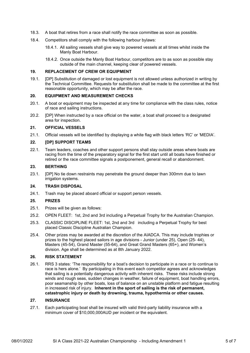- 18.3. A boat that retires from a race shall notify the race committee as soon as possible.
- 18.4. Competitors shall comply with the following harbour bylaws:
	- 18.4.1. All sailing vessels shall give way to powered vessels at all times whilst inside the Manly Boat Harbour.
	- 18.4.2. Once outside the Manly Boat Harbour, competitors are to as soon as possible stay outside of the main channel, keeping clear of powered vessels.

#### **19. REPLACEMENT OF CREW OR EQUIPMENT**

19.1. [DP] Substitution of damaged or lost equipment is not allowed unless authorized in writing by the Technical Committee. Requests for substitution shall be made to the committee at the first reasonable opportunity, which may be after the race.

#### **20. EQUIPMENT AND MEASUREMENT CHECKS**

- 20.1. A boat or equipment may be inspected at any time for compliance with the class rules, notice of race and sailing instructions.
- 20.2. [DP] When instructed by a race official on the water, a boat shall proceed to a designated area for inspection.

#### **21. OFFICIAL VESSELS**

21.1. Official vessels will be identified by displaying a white flag with black letters 'RC' or 'MEDIA'.

#### **22. [DP] SUPPORT TEAMS**

22.1. Team leaders, coaches and other support persons shall stay outside areas where boats are racing from the time of the preparatory signal for the first start until all boats have finished or retired or the race committee signals a postponement, general recall or abandonment.

#### **23. BERTHING**

23.1. [DP] No tie down restraints may penetrate the ground deeper than 300mm due to lawn irrigation systems.

#### **24. TRASH DISPOSAL**

24.1. Trash may be placed aboard official or support person vessels.

#### **25. PRIZES**

- 25.1. Prizes will be given as follows:
- 25.2. OPEN FLEET: 1st, 2nd and 3rd including a Perpetual Trophy for the Australian Champion.
- 25.3. CLASSIC DISCIPLINE FLEET: 1st, 2nd and 3rd including a Perpetual Trophy for best placed Classic Discipline Australian Champion.
- 25.4. Other prizes may be awarded at the discretion of the AIADCA. This may include trophies or prizes to the highest placed sailors in age divisions - Junior (under 25), Open (25- 44), Masters (45-54), Grand Master (55-64), and Great Grand Masters (65+), and Women's division. Age shall be determined as at 8th January 2022.

#### **26. RISK STATEMENT**

26.1. RRS 3 states: 'The responsibility for a boat's decision to participate in a race or to continue to race is hers alone.' By participating in this event each competitor agrees and acknowledges that sailing is a potentially dangerous activity with inherent risks. These risks include strong winds and rough seas, sudden changes in weather, failure of equipment, boat handling errors, poor seamanship by other boats, loss of balance on an unstable platform and fatigue resulting in increased risk of injury. **Inherent in the sport of sailing is the risk of permanent, catastrophic injury or death by drowning, trauma, hypothermia or other causes.**

#### **27. INSURANCE**

27.1. Each participating boat shall be insured with valid third-party liability insurance with a minimum cover of \$10,000,000AUD per incident or the equivalent.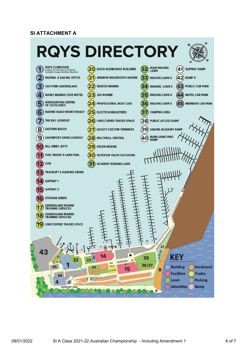#### **SI ATTACHMENT A**